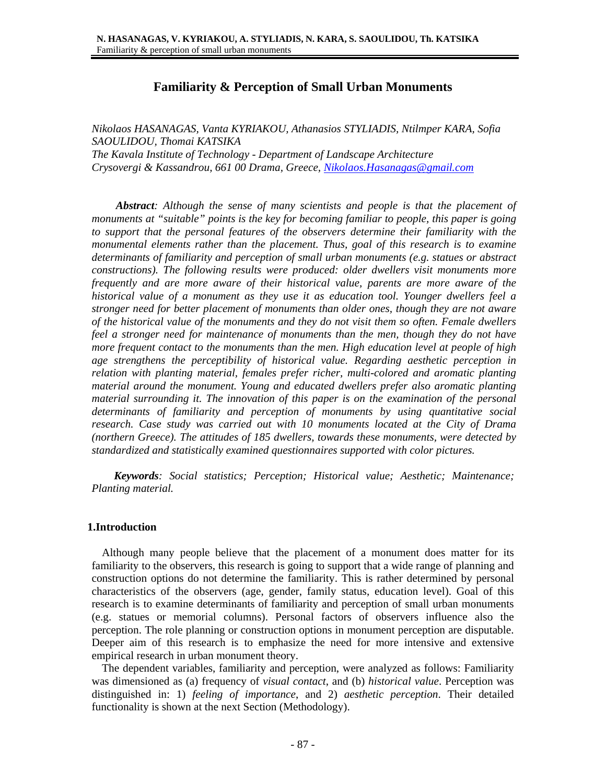# **Familiarity & Perception of Small Urban Monuments**

*Nikolaos HASANAGAS, Vanta KYRIAKOU, Athanasios STYLIADIS, Ntilmper KARA, Sofia SAOULIDOU, Thomai KATSIKA The Kavala Institute of Technology - Department of Landscape Architecture Crysovergi & Kassandrou, 661 00 Drama, Greece, Nikolaos.Hasanagas@gmail.com* 

 *Abstract: Although the sense of many scientists and people is that the placement of monuments at "suitable" points is the key for becoming familiar to people, this paper is going to support that the personal features of the observers determine their familiarity with the monumental elements rather than the placement. Thus, goal of this research is to examine determinants of familiarity and perception of small urban monuments (e.g. statues or abstract constructions). The following results were produced: older dwellers visit monuments more frequently and are more aware of their historical value, parents are more aware of the historical value of a monument as they use it as education tool. Younger dwellers feel a stronger need for better placement of monuments than older ones, though they are not aware of the historical value of the monuments and they do not visit them so often. Female dwellers feel a stronger need for maintenance of monuments than the men, though they do not have more frequent contact to the monuments than the men. High education level at people of high age strengthens the perceptibility of historical value. Regarding aesthetic perception in relation with planting material, females prefer richer, multi-colored and aromatic planting material around the monument. Young and educated dwellers prefer also aromatic planting material surrounding it. The innovation of this paper is on the examination of the personal determinants of familiarity and perception of monuments by using quantitative social research. Case study was carried out with 10 monuments located at the City of Drama (northern Greece). The attitudes of 185 dwellers, towards these monuments, were detected by standardized and statistically examined questionnaires supported with color pictures.* 

 *Keywords: Social statistics; Perception; Historical value; Aesthetic; Maintenance; Planting material.* 

#### **1.Introduction**

Although many people believe that the placement of a monument does matter for its familiarity to the observers, this research is going to support that a wide range of planning and construction options do not determine the familiarity. This is rather determined by personal characteristics of the observers (age, gender, family status, education level). Goal of this research is to examine determinants of familiarity and perception of small urban monuments (e.g. statues or memorial columns). Personal factors of observers influence also the perception. The role planning or construction options in monument perception are disputable. Deeper aim of this research is to emphasize the need for more intensive and extensive empirical research in urban monument theory.

The dependent variables, familiarity and perception, were analyzed as follows: Familiarity was dimensioned as (a) frequency of *visual contact*, and (b) *historical value*. Perception was distinguished in: 1) *feeling of importance*, and 2) *aesthetic perception*. Their detailed functionality is shown at the next Section (Methodology).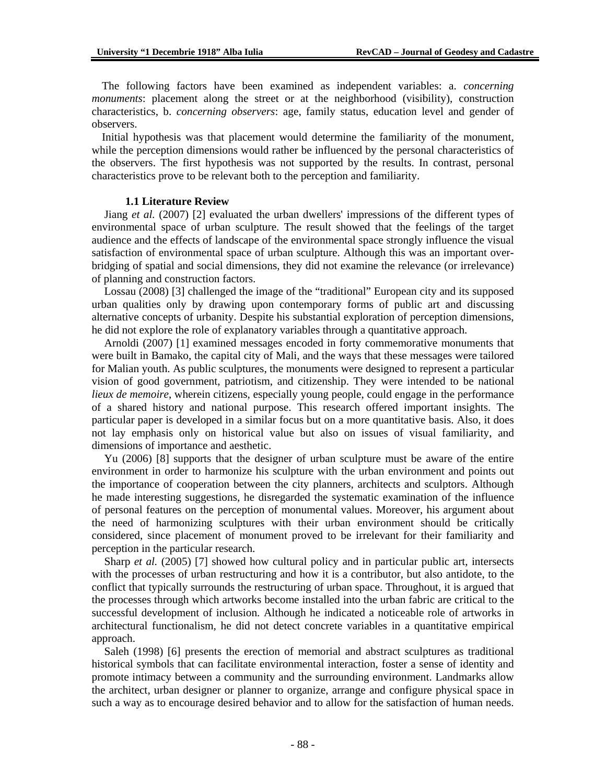The following factors have been examined as independent variables: a. *concerning monuments*: placement along the street or at the neighborhood (visibility), construction characteristics, b. *concerning observers*: age, family status, education level and gender of observers.

Initial hypothesis was that placement would determine the familiarity of the monument, while the perception dimensions would rather be influenced by the personal characteristics of the observers. The first hypothesis was not supported by the results. In contrast, personal characteristics prove to be relevant both to the perception and familiarity.

#### **1.1 Literature Review**

Jiang *et al.* (2007) [2] evaluated the urban dwellers' impressions of the different types of environmental space of urban sculpture. The result showed that the feelings of the target audience and the effects of landscape of the environmental space strongly influence the visual satisfaction of environmental space of urban sculpture. Although this was an important overbridging of spatial and social dimensions, they did not examine the relevance (or irrelevance) of planning and construction factors.

Lossau (2008) [3] challenged the image of the "traditional" European city and its supposed urban qualities only by drawing upon contemporary forms of public art and discussing alternative concepts of urbanity. Despite his substantial exploration of perception dimensions, he did not explore the role of explanatory variables through a quantitative approach.

Arnoldi (2007) [1] examined messages encoded in forty commemorative monuments that were built in Bamako, the capital city of Mali, and the ways that these messages were tailored for Malian youth. As public sculptures, the monuments were designed to represent a particular vision of good government, patriotism, and citizenship. They were intended to be national *lieux de memoire*, wherein citizens, especially young people, could engage in the performance of a shared history and national purpose. This research offered important insights. The particular paper is developed in a similar focus but on a more quantitative basis. Also, it does not lay emphasis only on historical value but also on issues of visual familiarity, and dimensions of importance and aesthetic.

Yu (2006) [8] supports that the designer of urban sculpture must be aware of the entire environment in order to harmonize his sculpture with the urban environment and points out the importance of cooperation between the city planners, architects and sculptors. Although he made interesting suggestions, he disregarded the systematic examination of the influence of personal features on the perception of monumental values. Moreover, his argument about the need of harmonizing sculptures with their urban environment should be critically considered, since placement of monument proved to be irrelevant for their familiarity and perception in the particular research.

Sharp *et al.* (2005) [7] showed how cultural policy and in particular public art, intersects with the processes of urban restructuring and how it is a contributor, but also antidote, to the conflict that typically surrounds the restructuring of urban space. Throughout, it is argued that the processes through which artworks become installed into the urban fabric are critical to the successful development of inclusion. Although he indicated a noticeable role of artworks in architectural functionalism, he did not detect concrete variables in a quantitative empirical approach.

Saleh (1998) [6] presents the erection of memorial and abstract sculptures as traditional historical symbols that can facilitate environmental interaction, foster a sense of identity and promote intimacy between a community and the surrounding environment. Landmarks allow the architect, urban designer or planner to organize, arrange and configure physical space in such a way as to encourage desired behavior and to allow for the satisfaction of human needs.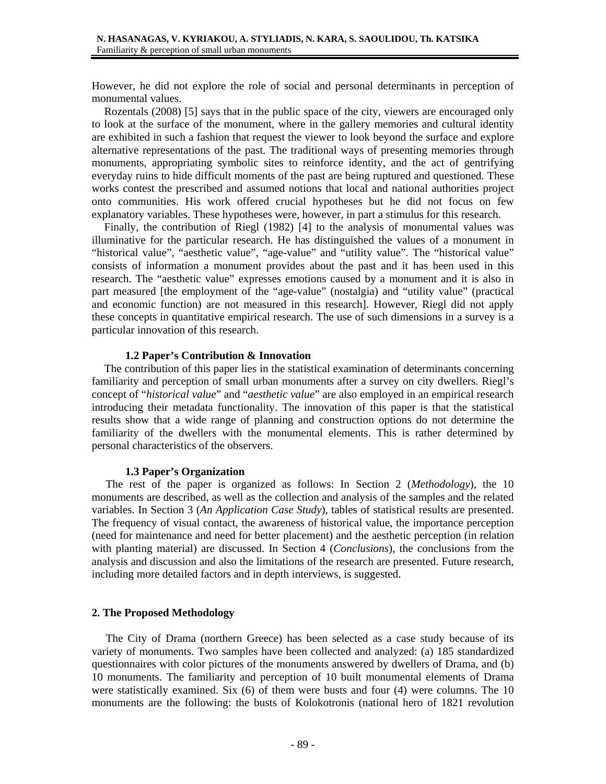However, he did not explore the role of social and personal determinants in perception of monumental values.

Rozentals (2008) [5] says that in the public space of the city, viewers are encouraged only to look at the surface of the monument, where in the gallery memories and cultural identity are exhibited in such a fashion that request the viewer to look beyond the surface and explore alternative representations of the past. The traditional ways of presenting memories through monuments, appropriating symbolic sites to reinforce identity, and the act of gentrifying everyday ruins to hide difficult moments of the past are being ruptured and questioned. These works contest the prescribed and assumed notions that local and national authorities project onto communities. His work offered crucial hypotheses but he did not focus on few explanatory variables. These hypotheses were, however, in part a stimulus for this research.

Finally, the contribution of Riegl (1982) [4] to the analysis of monumental values was illuminative for the particular research. He has distinguished the values of a monument in "historical value", "aesthetic value", "age-value" and "utility value". The "historical value" consists of information a monument provides about the past and it has been used in this research. The "aesthetic value" expresses emotions caused by a monument and it is also in part measured [the employment of the "age-value" (nostalgia) and "utility value" (practical and economic function) are not measured in this research]. However, Riegl did not apply these concepts in quantitative empirical research. The use of such dimensions in a survey is a particular innovation of this research.

### **1.2 Paper's Contribution & Innovation**

The contribution of this paper lies in the statistical examination of determinants concerning familiarity and perception of small urban monuments after a survey on city dwellers. Riegl's concept of "*historical value*" and "*aesthetic value*" are also employed in an empirical research introducing their metadata functionality. The innovation of this paper is that the statistical results show that a wide range of planning and construction options do not determine the familiarity of the dwellers with the monumental elements. This is rather determined by personal characteristics of the observers.

#### **1.3 Paper's Organization**

 The rest of the paper is organized as follows: In Section 2 (*Methodology*), the 10 monuments are described, as well as the collection and analysis of the samples and the related variables. In Section 3 (*An Application Case Study*), tables of statistical results are presented. The frequency of visual contact, the awareness of historical value, the importance perception (need for maintenance and need for better placement) and the aesthetic perception (in relation with planting material) are discussed. In Section 4 (*Conclusions*), the conclusions from the analysis and discussion and also the limitations of the research are presented. Future research, including more detailed factors and in depth interviews, is suggested.

## **2. The Proposed Methodology**

The City of Drama (northern Greece) has been selected as a case study because of its variety of monuments. Two samples have been collected and analyzed: (a) 185 standardized questionnaires with color pictures of the monuments answered by dwellers of Drama, and (b) 10 monuments. The familiarity and perception of 10 built monumental elements of Drama were statistically examined. Six (6) of them were busts and four (4) were columns. The 10 monuments are the following: the busts of Kolokotronis (national hero of 1821 revolution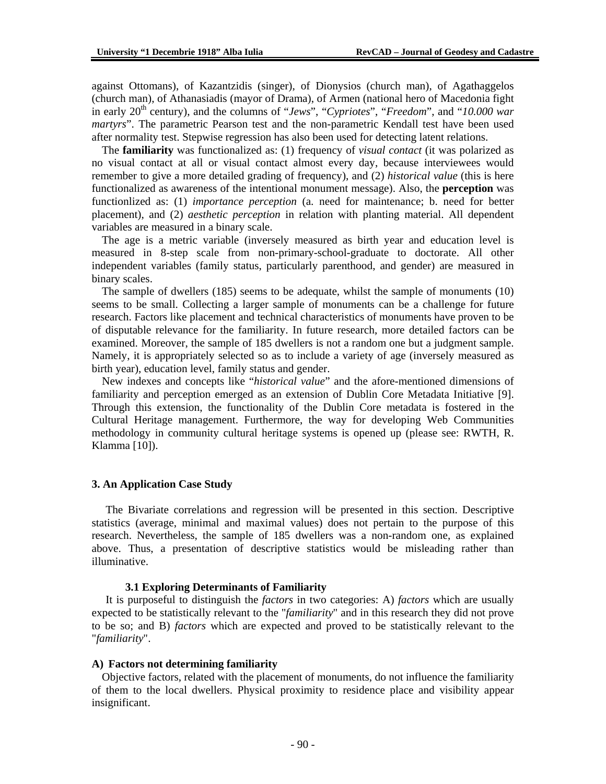against Ottomans), of Kazantzidis (singer), of Dionysios (church man), of Agathaggelos (church man), of Athanasiadis (mayor of Drama), of Armen (national hero of Macedonia fight in early 20<sup>th</sup> century), and the columns of "*Jews*", "Cypriotes", "Freedom", and "10.000 war *martyrs*". The parametric Pearson test and the non-parametric Kendall test have been used after normality test. Stepwise regression has also been used for detecting latent relations.

The **familiarity** was functionalized as: (1) frequency of *visual contact* (it was polarized as no visual contact at all or visual contact almost every day, because interviewees would remember to give a more detailed grading of frequency), and (2) *historical value* (this is here functionalized as awareness of the intentional monument message). Also, the **perception** was functionlized as: (1) *importance perception* (a. need for maintenance; b. need for better placement), and (2) *aesthetic perception* in relation with planting material. All dependent variables are measured in a binary scale.

The age is a metric variable (inversely measured as birth year and education level is measured in 8-step scale from non-primary-school-graduate to doctorate. All other independent variables (family status, particularly parenthood, and gender) are measured in binary scales.

The sample of dwellers (185) seems to be adequate, whilst the sample of monuments (10) seems to be small. Collecting a larger sample of monuments can be a challenge for future research. Factors like placement and technical characteristics of monuments have proven to be of disputable relevance for the familiarity. In future research, more detailed factors can be examined. Moreover, the sample of 185 dwellers is not a random one but a judgment sample. Namely, it is appropriately selected so as to include a variety of age (inversely measured as birth year), education level, family status and gender.

New indexes and concepts like "*historical value*" and the afore-mentioned dimensions of familiarity and perception emerged as an extension of Dublin Core Metadata Initiative [9]. Through this extension, the functionality of the Dublin Core metadata is fostered in the Cultural Heritage management. Furthermore, the way for developing Web Communities methodology in community cultural heritage systems is opened up (please see: RWTH, R. Klamma [10]).

#### **3. An Application Case Study**

 The Bivariate correlations and regression will be presented in this section. Descriptive statistics (average, minimal and maximal values) does not pertain to the purpose of this research. Nevertheless, the sample of 185 dwellers was a non-random one, as explained above. Thus, a presentation of descriptive statistics would be misleading rather than illuminative.

### **3.1 Exploring Determinants of Familiarity**

 It is purposeful to distinguish the *factors* in two categories: A) *factors* which are usually expected to be statistically relevant to the "*familiarity*" and in this research they did not prove to be so; and B) *factors* which are expected and proved to be statistically relevant to the "*familiarity*".

#### **A) Factors not determining familiarity**

Objective factors, related with the placement of monuments, do not influence the familiarity of them to the local dwellers. Physical proximity to residence place and visibility appear insignificant.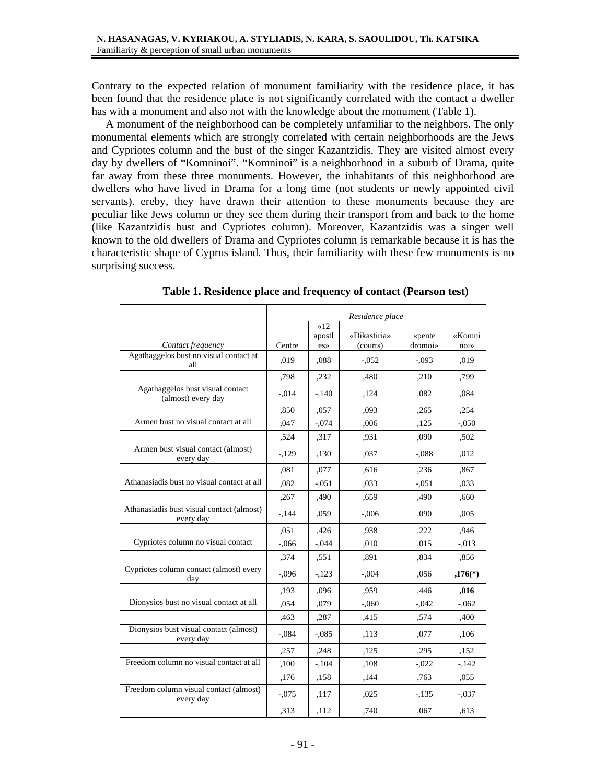Contrary to the expected relation of monument familiarity with the residence place, it has been found that the residence place is not significantly correlated with the contact a dweller has with a monument and also not with the knowledge about the monument (Table 1).

 A monument of the neighborhood can be completely unfamiliar to the neighbors. The only monumental elements which are strongly correlated with certain neighborhoods are the Jews and Cypriotes column and the bust of the singer Kazantzidis. They are visited almost every day by dwellers of "Komninoi". "Komninoi" is a neighborhood in a suburb of Drama, quite far away from these three monuments. However, the inhabitants of this neighborhood are dwellers who have lived in Drama for a long time (not students or newly appointed civil servants). ereby, they have drawn their attention to these monuments because they are peculiar like Jews column or they see them during their transport from and back to the home (like Kazantzidis bust and Cypriotes column). Moreover, Kazantzidis was a singer well known to the old dwellers of Drama and Cypriotes column is remarkable because it is has the characteristic shape of Cyprus island. Thus, their familiarity with these few monuments is no surprising success.

|                                                        | Residence place |               |                          |                   |           |  |
|--------------------------------------------------------|-----------------|---------------|--------------------------|-------------------|-----------|--|
|                                                        |                 | $\ll 12$      |                          |                   | «Komni    |  |
| Contact frequency                                      | Centre          | apostl<br>es» | «Dikastiria»<br>(courts) | «pente<br>dromoi» | noi       |  |
| Agathaggelos bust no visual contact at<br>all          | ,019            | .088          | $-.052$                  | $-.093$           | ,019      |  |
|                                                        | ,798            | ,232          | ,480                     | ,210              | ,799      |  |
| Agathaggelos bust visual contact<br>(almost) every day | $-.014$         | $-.140$       | ,124                     | .082              | .084      |  |
|                                                        | ,850            | ,057          | ,093                     | .265              | ,254      |  |
| Armen bust no visual contact at all                    | ,047            | $-.074$       | ,006                     | ,125              | $-.050$   |  |
|                                                        | ,524            | ,317          | ,931                     | ,090              | ,502      |  |
| Armen bust visual contact (almost)<br>every day        | $-129$          | ,130          | ,037                     | $-.088$           | ,012      |  |
|                                                        | ,081            | ,077          | ,616                     | ,236              | ,867      |  |
| Athanasiadis bust no visual contact at all             | ,082            | $-.051$       | ,033                     | $-.051$           | .033      |  |
|                                                        | ,267            | ,490          | .659                     | ,490              | .660      |  |
| Athanasiadis bust visual contact (almost)<br>every day | $-144$          | ,059          | $-.006$                  | ,090              | ,005      |  |
|                                                        | ,051            | ,426          | .938                     | ,222              | ,946      |  |
| Cypriotes column no visual contact                     | $-.066$         | $-.044$       | ,010                     | ,015              | $-.013$   |  |
|                                                        | ,374            | ,551          | ,891                     | ,834              | ,856      |  |
| Cypriotes column contact (almost) every<br>day         | $-.096$         | $-123$        | $-.004$                  | ,056              | $,176(*)$ |  |
|                                                        | ,193            | ,096          | .959                     | ,446              | ,016      |  |
| Dionysios bust no visual contact at all                | ,054            | .079          | $-.060$                  | $-.042$           | $-.062$   |  |
|                                                        | ,463            | ,287          | ,415                     | ,574              | ,400      |  |
| Dionysios bust visual contact (almost)<br>every day    | $-.084$         | $-.085$       | ,113                     | ,077              | ,106      |  |
|                                                        | ,257            | ,248          | ,125                     | ,295              | ,152      |  |
| Freedom column no visual contact at all                | ,100            | $-.104$       | ,108                     | $-.022$           | $-142$    |  |
|                                                        | ,176            | ,158          | ,144                     | ,763              | ,055      |  |
| Freedom column visual contact (almost)<br>every day    | $-.075$         | ,117          | ,025                     | $-.135$           | $-.037$   |  |
|                                                        | ,313            | ,112          | ,740                     | ,067              | ,613      |  |

**Table 1. Residence place and frequency of contact (Pearson test)**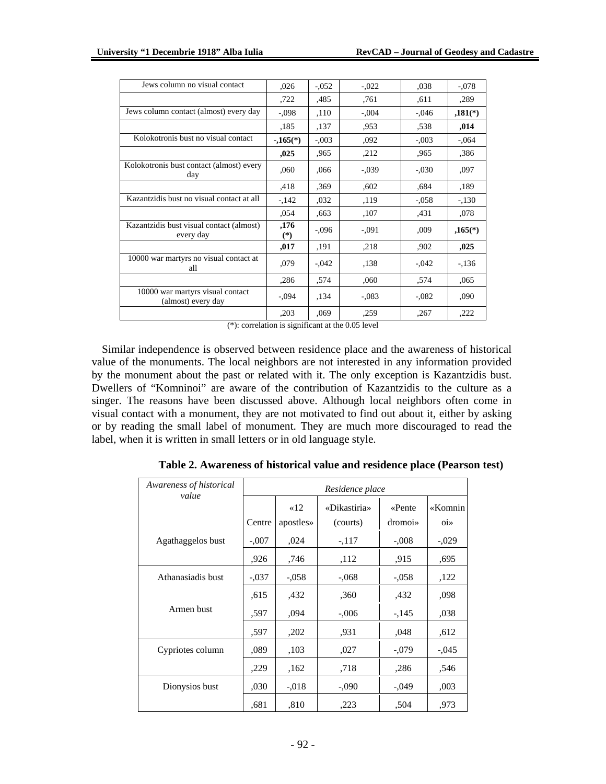| Jews column no visual contact                          | ,026          | $-.052$ | $-.022$ | .038    | $-.078$               |
|--------------------------------------------------------|---------------|---------|---------|---------|-----------------------|
|                                                        | ,722          | ,485    | .761    | ,611    | ,289                  |
| Jews column contact (almost) every day                 | $-.098$       | ,110    | $-.004$ | $-.046$ | $,181$ <sup>(*)</sup> |
|                                                        | ,185          | ,137    | .953    | .538    | ,014                  |
| Kolokotronis bust no visual contact                    | $-0.165(*)$   | $-.003$ | ,092    | $-.003$ | $-.064$               |
|                                                        | ,025          | ,965    | ,212    | ,965    | ,386                  |
| Kolokotronis bust contact (almost) every<br>day        | ,060          | ,066    | $-.039$ | $-.030$ | .097                  |
|                                                        | ,418          | .369    | ,602    | .684    | ,189                  |
| Kazantzidis bust no visual contact at all              | $-142$        | ,032    | ,119    | $-.058$ | $-.130$               |
|                                                        | ,054          | ,663    | ,107    | ,431    | ,078                  |
| Kazantzidis bust visual contact (almost)<br>every day  | ,176<br>$(*)$ | $-.096$ | $-.091$ | ,009    | $,165(*)$             |
|                                                        | ,017          | ,191    | ,218    | .902    | ,025                  |
| 10000 war martyrs no visual contact at<br>all          | ,079          | $-.042$ | ,138    | $-.042$ | $-136$                |
|                                                        | ,286          | .574    | ,060    | .574    | .065                  |
| 10000 war martyrs visual contact<br>(almost) every day | $-.094$       | ,134    | $-.083$ | $-.082$ | ,090                  |
|                                                        | ,203          | ,069    | ,259    | ,267    | ,222                  |
|                                                        |               |         |         |         |                       |

(\*): correlation is significant at the 0.05 level

Similar independence is observed between residence place and the awareness of historical value of the monuments. The local neighbors are not interested in any information provided by the monument about the past or related with it. The only exception is Kazantzidis bust. Dwellers of "Komninoi" are aware of the contribution of Kazantzidis to the culture as a singer. The reasons have been discussed above. Although local neighbors often come in visual contact with a monument, they are not motivated to find out about it, either by asking or by reading the small label of monument. They are much more discouraged to read the label, when it is written in small letters or in old language style.

| Awareness of historical<br>value | Residence place |           |              |         |                |  |  |
|----------------------------------|-----------------|-----------|--------------|---------|----------------|--|--|
|                                  |                 | $\ll 12$  | «Dikastiria» | «Pente  | «Komnin        |  |  |
|                                  | Centre          | apostles» | (courts)     | dromoi» | 0 <sub>i</sub> |  |  |
| Agathaggelos bust                | $-.007$         | ,024      | $-117$       | $-.008$ | $-0.029$       |  |  |
|                                  | .926            | ,746      | ,112         | ,915    | ,695           |  |  |
| Athanasiadis bust                | $-.037$         | $-.058$   | $-.068$      | $-.058$ | ,122           |  |  |
|                                  | .615            | ,432      | ,360         | ,432    | ,098           |  |  |
| Armen bust                       | ,597            | ,094      | $-.006$      | $-145$  | ,038           |  |  |
|                                  | .597            | ,202      | .931         | ,048    | ,612           |  |  |
| Cypriotes column                 | .089            | ,103      | ,027         | $-.079$ | $-.045$        |  |  |
|                                  | ,229            | .162      | .718         | .286    | .546           |  |  |
| Dionysios bust                   | ,030            | $-.018$   | $-.090$      | $-.049$ | ,003           |  |  |
|                                  | ,681            | .810      | ,223         | ,504    | .973           |  |  |

**Table 2. Awareness of historical value and residence place (Pearson test)**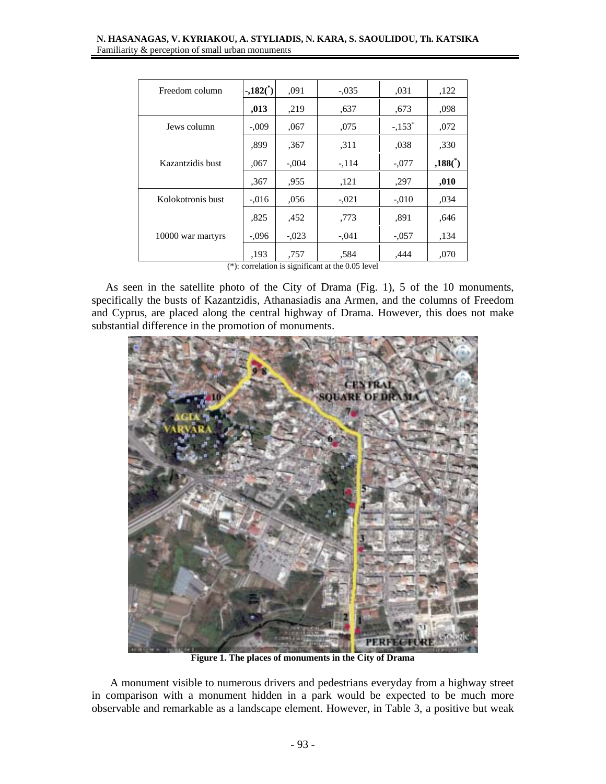#### **N. HASANAGAS, V. KYRIAKOU, A. STYLIADIS, N. KARA, S. SAOULIDOU, Th. KATSIKA**  Familiarity & perception of small urban monuments

| Freedom column    | $-.182($ <sup>*</sup> ) | .091    | $-.035$ | ,031                 | ,122                   |
|-------------------|-------------------------|---------|---------|----------------------|------------------------|
|                   | ,013                    | ,219    | .637    | .673                 | .098                   |
| Jews column       | $-.009$                 | ,067    | ,075    | $-.153$ <sup>*</sup> | ,072                   |
|                   | .899                    | .367    | .311    | ,038                 | ,330                   |
| Kazantzidis bust  | ,067                    | $-.004$ | $-.114$ | $-.077$              | $,188($ <sup>*</sup> ) |
|                   | ,367                    | ,955    | ,121    | ,297                 | ,010                   |
| Kolokotronis bust | $-.016$                 | .056    | $-.021$ | $-.010$              | ,034                   |
|                   | .825                    | ,452    | .773    | .891                 | .646                   |
| 10000 war martyrs | $-.096$                 | $-.023$ | $-.041$ | $-.057$              | ,134                   |
|                   | .193                    | .757    | .584    | .444                 | ,070                   |

(\*): correlation is significant at the 0.05 level

 As seen in the satellite photo of the City of Drama (Fig. 1), 5 of the 10 monuments, specifically the busts of Kazantzidis, Athanasiadis ana Armen, and the columns of Freedom and Cyprus, are placed along the central highway of Drama. However, this does not make substantial difference in the promotion of monuments.



**Figure 1. The places of monuments in the City of Drama** 

 A monument visible to numerous drivers and pedestrians everyday from a highway street in comparison with a monument hidden in a park would be expected to be much more observable and remarkable as a landscape element. However, in Table 3, a positive but weak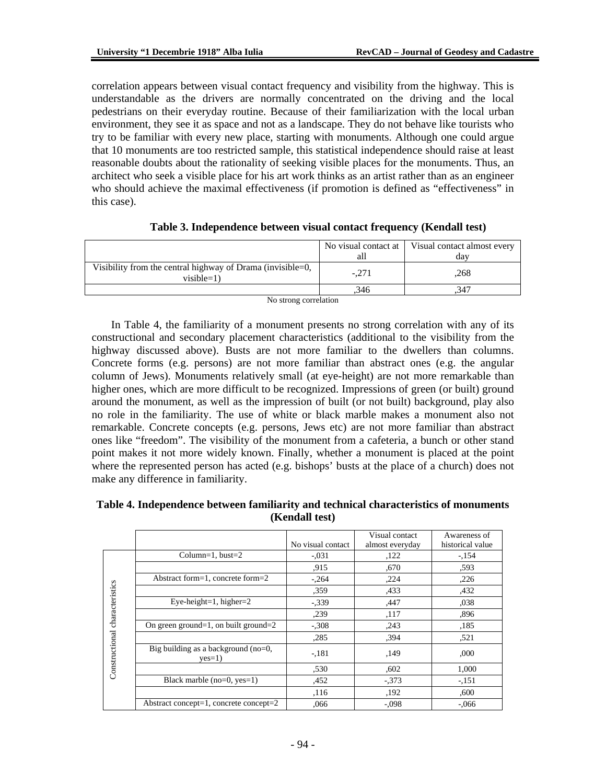correlation appears between visual contact frequency and visibility from the highway. This is understandable as the drivers are normally concentrated on the driving and the local pedestrians on their everyday routine. Because of their familiarization with the local urban environment, they see it as space and not as a landscape. They do not behave like tourists who try to be familiar with every new place, starting with monuments. Although one could argue that 10 monuments are too restricted sample, this statistical independence should raise at least reasonable doubts about the rationality of seeking visible places for the monuments. Thus, an architect who seek a visible place for his art work thinks as an artist rather than as an engineer who should achieve the maximal effectiveness (if promotion is defined as "effectiveness" in this case).

|                                                                            | all     | No visual contact at   Visual contact almost every<br>dav |
|----------------------------------------------------------------------------|---------|-----------------------------------------------------------|
| Visibility from the central highway of Drama (invisible=0,<br>$visible=1)$ | $-.271$ | .268                                                      |
|                                                                            | .346    | .347                                                      |

| Table 3. Independence between visual contact frequency (Kendall test) |  |  |  |  |  |  |  |  |
|-----------------------------------------------------------------------|--|--|--|--|--|--|--|--|
|-----------------------------------------------------------------------|--|--|--|--|--|--|--|--|

No strong correlation

 In Table 4, the familiarity of a monument presents no strong correlation with any of its constructional and secondary placement characteristics (additional to the visibility from the highway discussed above). Busts are not more familiar to the dwellers than columns. Concrete forms (e.g. persons) are not more familiar than abstract ones (e.g. the angular column of Jews). Monuments relatively small (at eye-height) are not more remarkable than higher ones, which are more difficult to be recognized. Impressions of green (or built) ground around the monument, as well as the impression of built (or not built) background, play also no role in the familiarity. The use of white or black marble makes a monument also not remarkable. Concrete concepts (e.g. persons, Jews etc) are not more familiar than abstract ones like "freedom". The visibility of the monument from a cafeteria, a bunch or other stand point makes it not more widely known. Finally, whether a monument is placed at the point where the represented person has acted (e.g. bishops' busts at the place of a church) does not make any difference in familiarity.

#### **Table 4. Independence between familiarity and technical characteristics of monuments (Kendall test)**

|                 |                                                 | No visual contact | Visual contact<br>almost everyday | Awareness of<br>historical value |
|-----------------|-------------------------------------------------|-------------------|-----------------------------------|----------------------------------|
|                 |                                                 |                   |                                   |                                  |
|                 | Column=1, bust= $2$                             | $-.031$           | ,122                              | $-.154$                          |
|                 |                                                 | ,915              | ,670                              | .593                             |
|                 | Abstract form=1, concrete form=2                | $-.264$           | ,224                              | ,226                             |
|                 |                                                 | ,359              | ,433                              | ,432                             |
| characteristics | Eye-height=1, higher= $2$                       | $-.339$           | ,447                              | ,038                             |
|                 |                                                 | ,239              | ,117                              | .896                             |
|                 | On green ground=1, on built ground=2            | $-.308$           | ,243                              | ,185                             |
|                 |                                                 | ,285              | .394                              | ,521                             |
| Constructional  | Big building as a background (no=0,<br>$yes=1)$ | $-.181$           | ,149                              | ,000                             |
|                 |                                                 | ,530              | ,602                              | 1,000                            |
|                 | Black marble $(no=0, yes=1)$                    | ,452              | $-.373$                           | $-.151$                          |
|                 |                                                 | ,116              | ,192                              | ,600                             |
|                 | Abstract concept=1, concrete concept=2          | ,066              | $-.098$                           | $-.066$                          |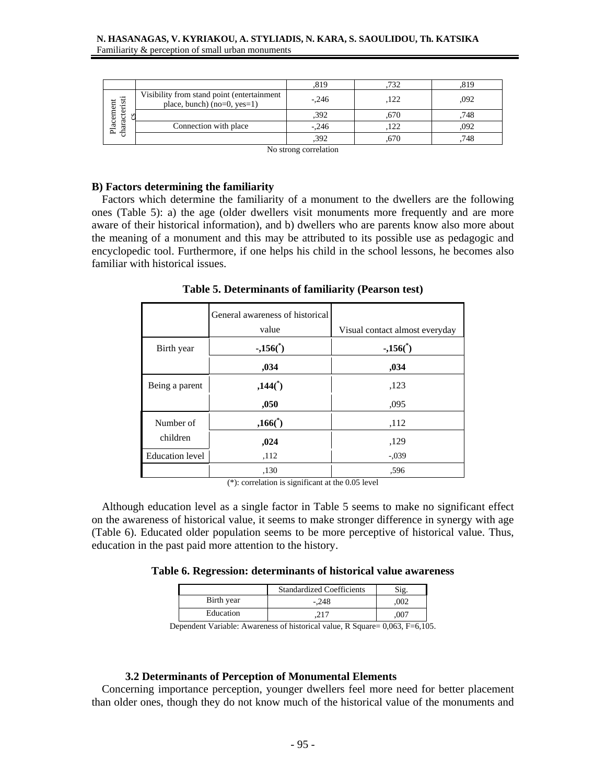|                    |                                                                             | ,819    | .732 | 819  |
|--------------------|-----------------------------------------------------------------------------|---------|------|------|
| - 13<br>ەن         | Visibility from stand point (entertainment<br>place, bunch) $(no=0, yes=1)$ | $-.246$ | ,122 | .092 |
| acement<br>۵Ś<br>ಡ |                                                                             | .392    | .670 | ,748 |
| $\frac{1}{2}$<br>司 | Connection with place                                                       | $-.246$ | 122  | ,092 |
|                    |                                                                             | .392    | .670 | 748  |

No strong correlation

## **B) Factors determining the familiarity**

Factors which determine the familiarity of a monument to the dwellers are the following ones (Table 5): a) the age (older dwellers visit monuments more frequently and are more aware of their historical information), and b) dwellers who are parents know also more about the meaning of a monument and this may be attributed to its possible use as pedagogic and encyclopedic tool. Furthermore, if one helps his child in the school lessons, he becomes also familiar with historical issues.

General awareness of historical value Visual contact almost everyday **-,156(\*** Birth year **156**<sup>\*</sup>) **156**<sup>\*</sup>) **156**<sup>\*</sup>) **156**<sup>\*</sup>) **,034 ,034 Being a parent 144(\*) 144(\*)** 123 **,050** ,095 **,166(\*** Number of **)** ,112 children **,024** ,129 Education level ,112 -,039 ,130 ,596

**Table 5. Determinants of familiarity (Pearson test)** 

(\*): correlation is significant at the 0.05 level

Although education level as a single factor in Table 5 seems to make no significant effect on the awareness of historical value, it seems to make stronger difference in synergy with age (Table 6). Educated older population seems to be more perceptive of historical value. Thus, education in the past paid more attention to the history.

**Table 6. Regression: determinants of historical value awareness** 

|            | <b>Standardized Coefficients</b> |      |
|------------|----------------------------------|------|
| Birth year | $-.248$                          | 002  |
| Education  |                                  | .)07 |

Dependent Variable: Awareness of historical value, R Square= 0,063, F=6,105.

#### **3.2 Determinants of Perception of Monumental Elements**

Concerning importance perception, younger dwellers feel more need for better placement than older ones, though they do not know much of the historical value of the monuments and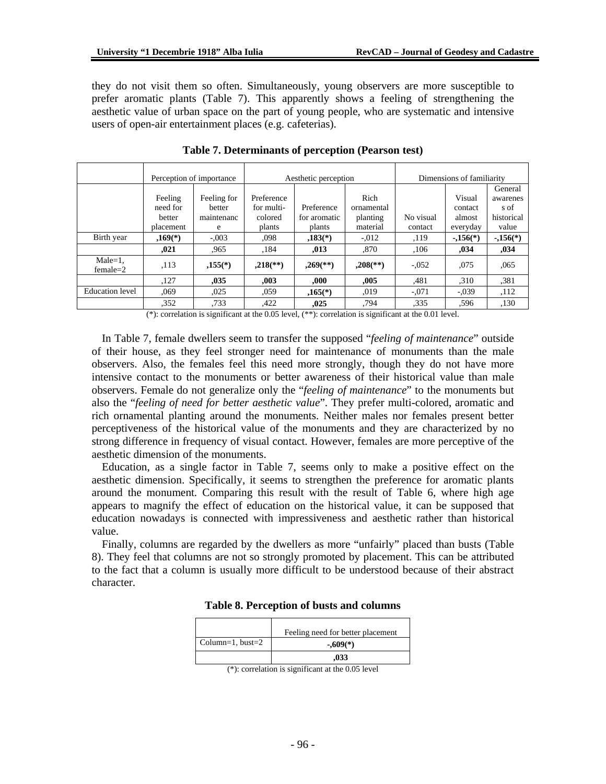they do not visit them so often. Simultaneously, young observers are more susceptible to prefer aromatic plants (Table 7). This apparently shows a feeling of strengthening the aesthetic value of urban space on the part of young people, who are systematic and intensive users of open-air entertainment places (e.g. cafeterias).

|                               |                                            | Perception of importance                 | Aesthetic perception                          |                                      |                                            | Dimensions of familiarity |                                         |                                                    |
|-------------------------------|--------------------------------------------|------------------------------------------|-----------------------------------------------|--------------------------------------|--------------------------------------------|---------------------------|-----------------------------------------|----------------------------------------------------|
|                               | Feeling<br>need for<br>better<br>placement | Feeling for<br>better<br>maintenanc<br>e | Preference<br>for multi-<br>colored<br>plants | Preference<br>for aromatic<br>plants | Rich<br>ornamental<br>planting<br>material | No visual<br>contact      | Visual<br>contact<br>almost<br>everyday | General<br>awarenes<br>s of<br>historical<br>value |
| Birth year                    | $,169(*)$                                  | $-.003$                                  | .098                                          | $,183(*)$                            | $-.012$                                    | ,119                      | $-0.156(*)$                             | $-.156(*)$                                         |
|                               | ,021                                       | .965                                     | .184                                          | .013                                 | .870                                       | ,106                      | .034                                    | ,034                                               |
| $Male=1$ ,<br>$f$ emale $=$ 2 | ,113                                       | $,155(*)$                                | $,218$ <sup>**</sup> )                        | $,269$ <sup>(**)</sup> )             | $,208$ <sup>(**)</sup> )                   | $-.052$                   | .075                                    | ,065                                               |
|                               | ,127                                       | .035                                     | .003                                          | .000                                 | .005                                       | .481                      | ,310                                    | .381                                               |
| Education level               | .069                                       | ,025                                     | .059                                          | $.165(*)$                            | .019                                       | $-.071$                   | $-.039$                                 | ,112                                               |
|                               | .352                                       | .733                                     | ,422                                          | ,025                                 | .794                                       | .335                      | .596                                    | ,130                                               |

**Table 7. Determinants of perception (Pearson test)** 

(\*): correlation is significant at the 0.05 level, (\*\*): correlation is significant at the 0.01 level.

In Table 7, female dwellers seem to transfer the supposed "*feeling of maintenance*" outside of their house, as they feel stronger need for maintenance of monuments than the male observers. Also, the females feel this need more strongly, though they do not have more intensive contact to the monuments or better awareness of their historical value than male observers. Female do not generalize only the "*feeling of maintenance*" to the monuments but also the "*feeling of need for better aesthetic value*". They prefer multi-colored, aromatic and rich ornamental planting around the monuments. Neither males nor females present better perceptiveness of the historical value of the monuments and they are characterized by no strong difference in frequency of visual contact. However, females are more perceptive of the aesthetic dimension of the monuments.

Education, as a single factor in Table 7, seems only to make a positive effect on the aesthetic dimension. Specifically, it seems to strengthen the preference for aromatic plants around the monument. Comparing this result with the result of Table 6, where high age appears to magnify the effect of education on the historical value, it can be supposed that education nowadays is connected with impressiveness and aesthetic rather than historical value.

Finally, columns are regarded by the dwellers as more "unfairly" placed than busts (Table 8). They feel that columns are not so strongly promoted by placement. This can be attributed to the fact that a column is usually more difficult to be understood because of their abstract character.

|                  | Feeling need for better placement |
|------------------|-----------------------------------|
| Column=1, bust=2 | $-.609(*)$                        |
|                  | ,033                              |

**Table 8. Perception of busts and columns** 

<sup>(\*):</sup> correlation is significant at the 0.05 level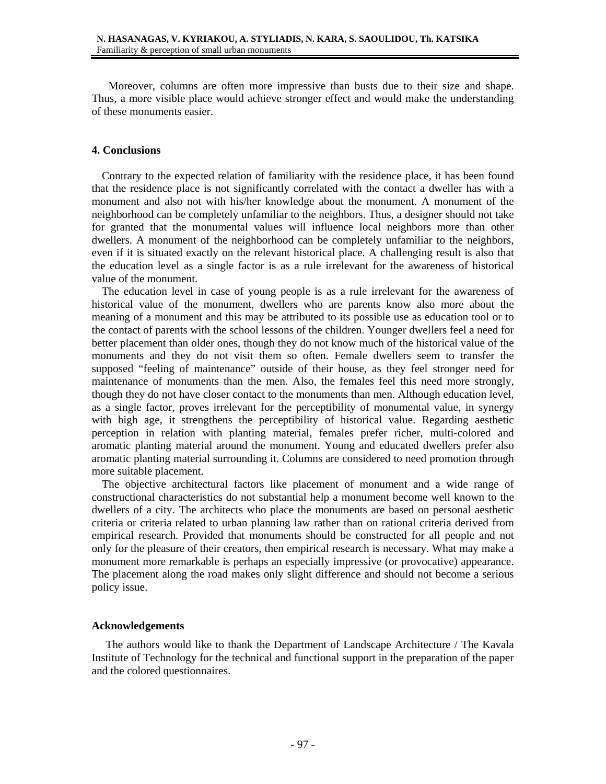Moreover, columns are often more impressive than busts due to their size and shape. Thus, a more visible place would achieve stronger effect and would make the understanding of these monuments easier.

### **4. Conclusions**

Contrary to the expected relation of familiarity with the residence place, it has been found that the residence place is not significantly correlated with the contact a dweller has with a monument and also not with his/her knowledge about the monument. A monument of the neighborhood can be completely unfamiliar to the neighbors. Thus, a designer should not take for granted that the monumental values will influence local neighbors more than other dwellers. A monument of the neighborhood can be completely unfamiliar to the neighbors, even if it is situated exactly on the relevant historical place. A challenging result is also that the education level as a single factor is as a rule irrelevant for the awareness of historical value of the monument.

The education level in case of young people is as a rule irrelevant for the awareness of historical value of the monument, dwellers who are parents know also more about the meaning of a monument and this may be attributed to its possible use as education tool or to the contact of parents with the school lessons of the children. Younger dwellers feel a need for better placement than older ones, though they do not know much of the historical value of the monuments and they do not visit them so often. Female dwellers seem to transfer the supposed "feeling of maintenance" outside of their house, as they feel stronger need for maintenance of monuments than the men. Also, the females feel this need more strongly, though they do not have closer contact to the monuments than men. Although education level, as a single factor, proves irrelevant for the perceptibility of monumental value, in synergy with high age, it strengthens the perceptibility of historical value. Regarding aesthetic perception in relation with planting material, females prefer richer, multi-colored and aromatic planting material around the monument. Young and educated dwellers prefer also aromatic planting material surrounding it. Columns are considered to need promotion through more suitable placement.

The objective architectural factors like placement of monument and a wide range of constructional characteristics do not substantial help a monument become well known to the dwellers of a city. The architects who place the monuments are based on personal aesthetic criteria or criteria related to urban planning law rather than on rational criteria derived from empirical research. Provided that monuments should be constructed for all people and not only for the pleasure of their creators, then empirical research is necessary. What may make a monument more remarkable is perhaps an especially impressive (or provocative) appearance. The placement along the road makes only slight difference and should not become a serious policy issue.

## **Acknowledgements**

 The authors would like to thank the Department of Landscape Architecture / The Kavala Institute of Technology for the technical and functional support in the preparation of the paper and the colored questionnaires.